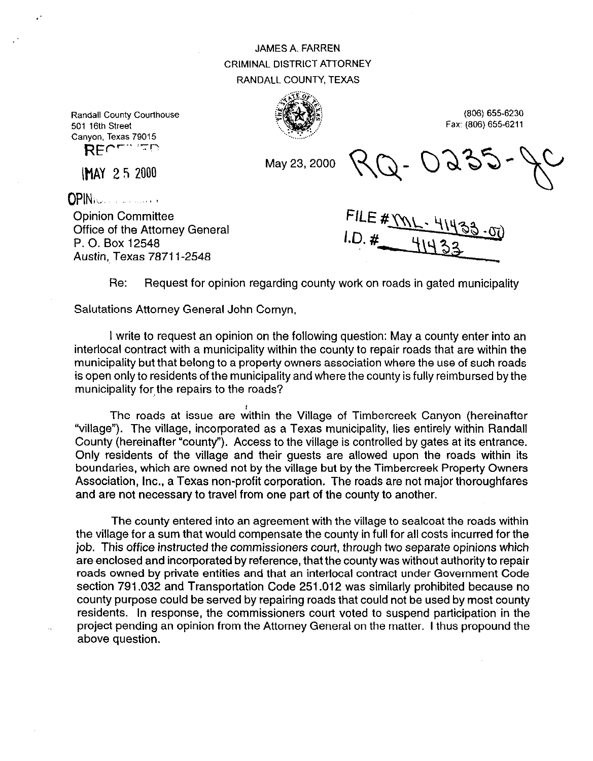## JAMES A. FARREN CRIMINAL DISTRICT ATTORNEY RANDALL COUNTY, TEXAS



(606) 655-6230 Fax: (806) 655-6211

Randall County Courthouse 501 16th Street Canyon, Texas 79015 REPT" FD

\HAY 2 5 2000

May 23,200O

()pINi\, .,I a

Opinion Committee Office of the Attorney General P. 0. Box 12548 Austin, Texas 78711-2548

FILE # YV

Re: Request for opinion regarding county work on roads in gated municipality

Salutations Attorney General John Cornyn,

I write to request an opinion on the following question: May a county enter into an interlocal contract with a municipality within the county to repair roads that are within the municipality but that belong to a property owners association where the use of such roads is open only to residents of the municipality and where the county is fully reimbursed by the municipality for the repairs to the roads?

The roads at issue are within the Village of Timbercreek Canyon (hereinafter "village"). The village, incorporated as a Texas municipality, lies entirely within Randall County (hereinafter "county"). Access to the village is controlled by gates at its entrance. Only residents of the village and their guests are allowed upon the roads within its boundaries, which are owned not by the village but by the Timbercreek Property Owners Association, Inc., a Texas non-profit corporation. The roads are not major thoroughfares and are not necessary to travel from one part of the county to another.

The county entered into an agreement with the village to sealcoat the roads within the village for a sum that would compensate the county in full for all costs incurred for the job. This office instructed the commissioners court, through two separate opinions which are enclosed and incorporated by reference, that the county was without authority to repair roads owned by private entities and that an interlocal contract under Government Code section 791.032 and Transportation Code 251.012 was similarly prohibited because no county purpose could be served by repairing roads that could not be used by most county residents. In response, the commissioners court voted to suspend participation in the project pending an opinion from the Attorney General on the matter. I thus propound the above question.